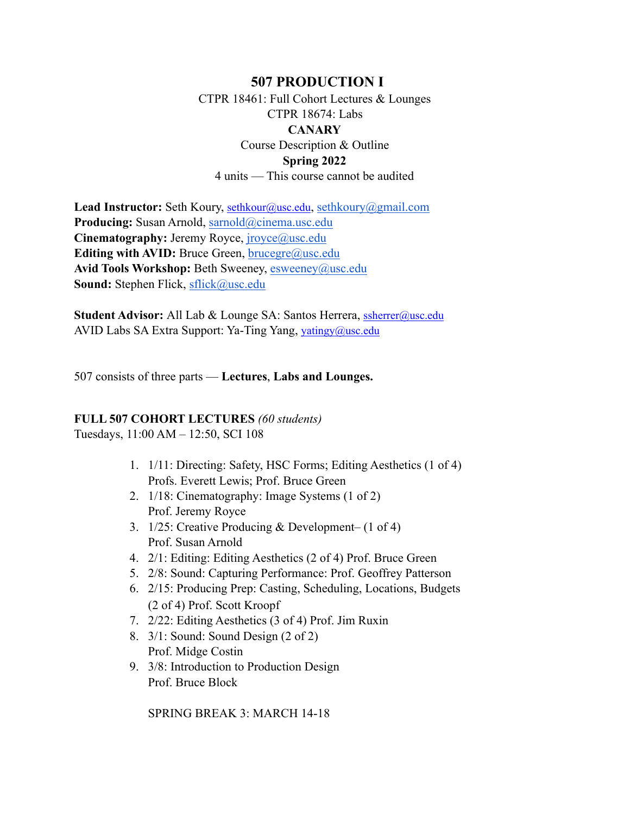## **507 PRODUCTION I**

CTPR 18461: Full Cohort Lectures & Lounges CTPR 18674: Labs **CANARY** Course Description & Outline **Spring 2022**

4 units — This course cannot be audited

Lead Instructor: Seth Koury, [sethkour@usc.edu](mailto:sethkour@usc.edu), [sethkoury@gmail.com](mailto:sethkoury@gmail.com) **Producing:** Susan Arnold, [sarnold@cinema.usc.edu](mailto:sarnold@cinema.usc.edu) **Cinematography:** Jeremy Royce, *[jroyce@usc.edu](mailto:jroyce@usc.edu)* **Editing with AVID:** Bruce Green, [brucegre@usc.edu](mailto:brucegre@usc.edu) Avid Tools Workshop: Beth Sweeney, [esweeney@usc.edu](mailto:esweeney@usc.edu) **Sound:** Stephen Flick, [sflick@usc.edu](mailto:sflick@usc.edu)

**Student Advisor:** All Lab & Lounge SA: Santos Herrera, [ssherrer@usc.edu](mailto:ssherrer@usc.edu) AVID Labs SA Extra Support: Ya-Ting Yang, [yatingy@usc.edu](mailto:yatingy@usc.edu)

507 consists of three parts — **Lectures**, **Labs and Lounges.**

### **FULL 507 COHORT LECTURES** *(60 students)*

Tuesdays, 11:00 AM – 12:50, SCI 108

- 1. 1/11: Directing: Safety, HSC Forms; Editing Aesthetics (1 of 4) Profs. Everett Lewis; Prof. Bruce Green
- 2. 1/18: Cinematography: Image Systems (1 of 2) Prof. Jeremy Royce
- 3. 1/25: Creative Producing & Development– (1 of 4) Prof. Susan Arnold
- 4. 2/1: Editing: Editing Aesthetics (2 of 4) Prof. Bruce Green
- 5. 2/8: Sound: Capturing Performance: Prof. Geoffrey Patterson
- 6. 2/15: Producing Prep: Casting, Scheduling, Locations, Budgets (2 of 4) Prof. Scott Kroopf
- 7. 2/22: Editing Aesthetics (3 of 4) Prof. Jim Ruxin
- 8. 3/1: Sound: Sound Design (2 of 2) Prof. Midge Costin
- 9. 3/8: Introduction to Production Design Prof. Bruce Block

SPRING BREAK 3: MARCH 14-18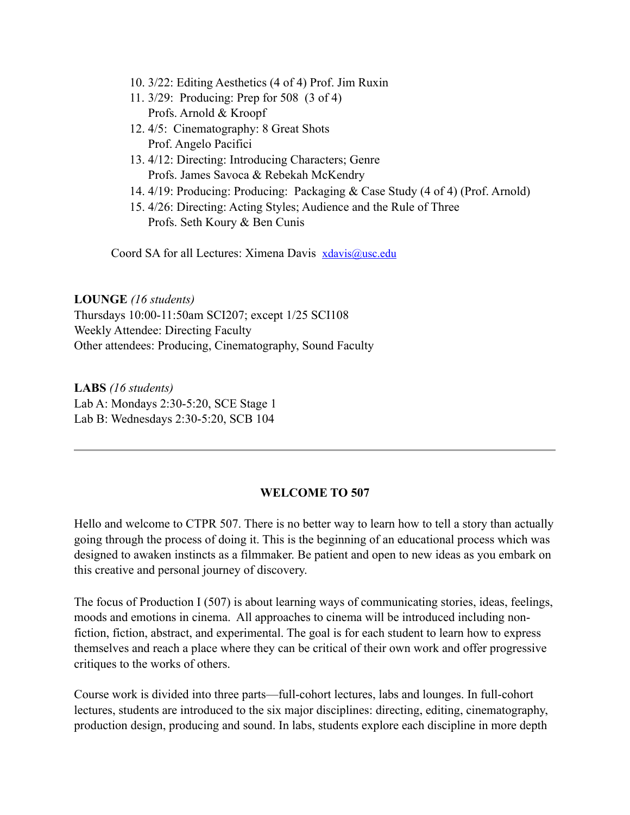- 10. 3/22: Editing Aesthetics (4 of 4) Prof. Jim Ruxin
- 11. 3/29: Producing: Prep for 508 (3 of 4) Profs. Arnold & Kroopf
- 12. 4/5: Cinematography: 8 Great Shots Prof. Angelo Pacifici
- 13. 4/12: Directing: Introducing Characters; Genre Profs. James Savoca & Rebekah McKendry
- 14. 4/19: Producing: Producing: Packaging & Case Study (4 of 4) (Prof. Arnold)
- 15. 4/26: Directing: Acting Styles; Audience and the Rule of Three Profs. Seth Koury & Ben Cunis

Coord SA for all Lectures: Ximena Davis [xdavis@usc.edu](mailto:xdavis@usc.edu)

**LOUNGE** *(16 students)*  Thursdays 10:00-11:50am SCI207; except 1/25 SCI108 Weekly Attendee: Directing Faculty Other attendees: Producing, Cinematography, Sound Faculty

**LABS** *(16 students)* Lab A: Mondays 2:30-5:20, SCE Stage 1 Lab B: Wednesdays 2:30-5:20, SCB 104

### **WELCOME TO 507**

Hello and welcome to CTPR 507. There is no better way to learn how to tell a story than actually going through the process of doing it. This is the beginning of an educational process which was designed to awaken instincts as a filmmaker. Be patient and open to new ideas as you embark on this creative and personal journey of discovery.

The focus of Production I (507) is about learning ways of communicating stories, ideas, feelings, moods and emotions in cinema. All approaches to cinema will be introduced including nonfiction, fiction, abstract, and experimental. The goal is for each student to learn how to express themselves and reach a place where they can be critical of their own work and offer progressive critiques to the works of others.

Course work is divided into three parts—full-cohort lectures, labs and lounges. In full-cohort lectures, students are introduced to the six major disciplines: directing, editing, cinematography, production design, producing and sound. In labs, students explore each discipline in more depth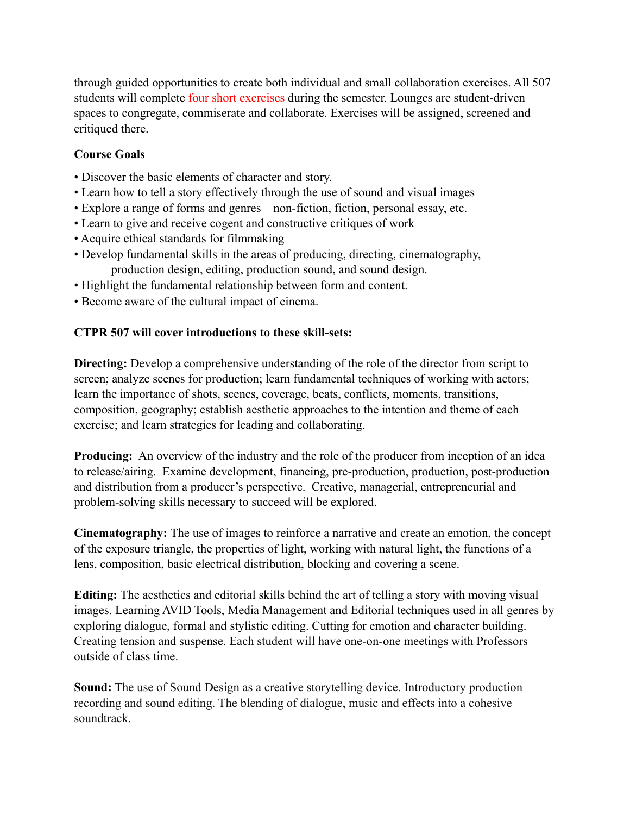through guided opportunities to create both individual and small collaboration exercises. All 507 students will complete four short exercises during the semester. Lounges are student-driven spaces to congregate, commiserate and collaborate. Exercises will be assigned, screened and critiqued there.

## **Course Goals**

- Discover the basic elements of character and story.
- Learn how to tell a story effectively through the use of sound and visual images
- Explore a range of forms and genres—non-fiction, fiction, personal essay, etc.
- Learn to give and receive cogent and constructive critiques of work
- Acquire ethical standards for filmmaking
- Develop fundamental skills in the areas of producing, directing, cinematography, production design, editing, production sound, and sound design.
- Highlight the fundamental relationship between form and content.
- Become aware of the cultural impact of cinema.

## **CTPR 507 will cover introductions to these skill-sets:**

**Directing:** Develop a comprehensive understanding of the role of the director from script to screen; analyze scenes for production; learn fundamental techniques of working with actors; learn the importance of shots, scenes, coverage, beats, conflicts, moments, transitions, composition, geography; establish aesthetic approaches to the intention and theme of each exercise; and learn strategies for leading and collaborating.

**Producing:** An overview of the industry and the role of the producer from inception of an idea to release/airing. Examine development, financing, pre-production, production, post-production and distribution from a producer's perspective. Creative, managerial, entrepreneurial and problem-solving skills necessary to succeed will be explored.

**Cinematography:** The use of images to reinforce a narrative and create an emotion, the concept of the exposure triangle, the properties of light, working with natural light, the functions of a lens, composition, basic electrical distribution, blocking and covering a scene.

**Editing:** The aesthetics and editorial skills behind the art of telling a story with moving visual images. Learning AVID Tools, Media Management and Editorial techniques used in all genres by exploring dialogue, formal and stylistic editing. Cutting for emotion and character building. Creating tension and suspense. Each student will have one-on-one meetings with Professors outside of class time.

**Sound:** The use of Sound Design as a creative storytelling device. Introductory production recording and sound editing. The blending of dialogue, music and effects into a cohesive soundtrack.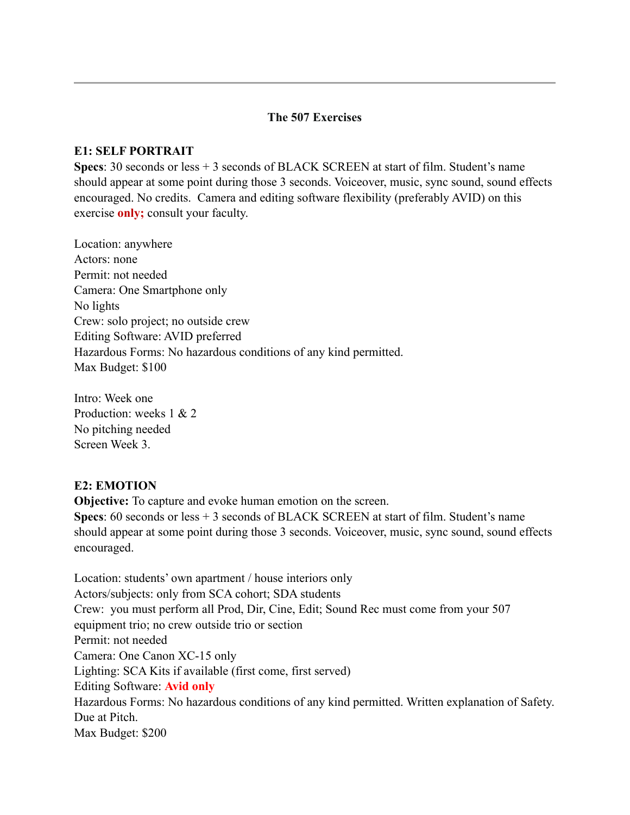#### **The 507 Exercises**

#### **E1: SELF PORTRAIT**

**Specs**: 30 seconds or less + 3 seconds of BLACK SCREEN at start of film. Student's name should appear at some point during those 3 seconds. Voiceover, music, sync sound, sound effects encouraged. No credits. Camera and editing software flexibility (preferably AVID) on this exercise **only;** consult your faculty.

Location: anywhere Actors: none Permit: not needed Camera: One Smartphone only No lights Crew: solo project; no outside crew Editing Software: AVID preferred Hazardous Forms: No hazardous conditions of any kind permitted. Max Budget: \$100

Intro: Week one Production: weeks 1 & 2 No pitching needed Screen Week 3.

#### **E2: EMOTION**

**Objective:** To capture and evoke human emotion on the screen. **Specs**: 60 seconds or less + 3 seconds of BLACK SCREEN at start of film. Student's name should appear at some point during those 3 seconds. Voiceover, music, sync sound, sound effects encouraged.

Location: students' own apartment / house interiors only Actors/subjects: only from SCA cohort; SDA students Crew: you must perform all Prod, Dir, Cine, Edit; Sound Rec must come from your 507 equipment trio; no crew outside trio or section Permit: not needed Camera: One Canon XC-15 only Lighting: SCA Kits if available (first come, first served) Editing Software: **Avid only** Hazardous Forms: No hazardous conditions of any kind permitted. Written explanation of Safety. Due at Pitch. Max Budget: \$200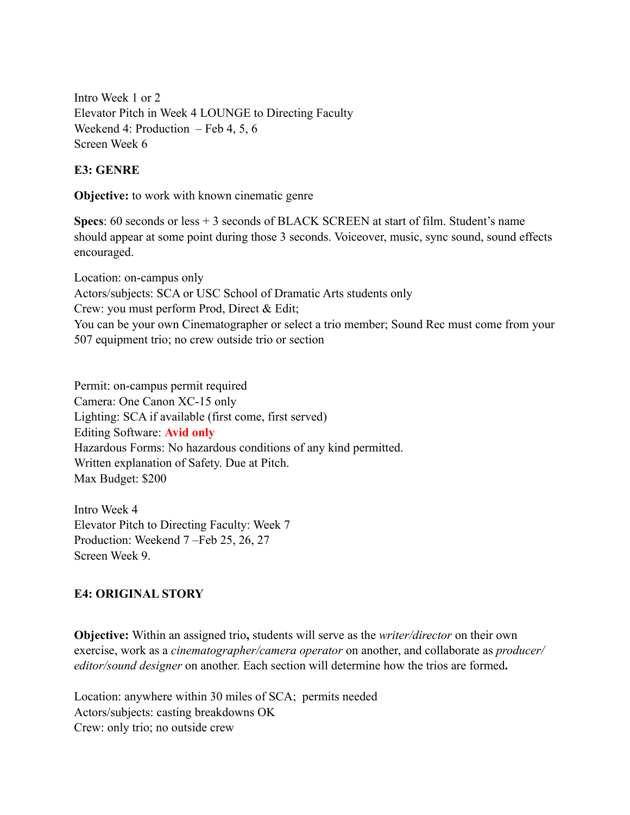Intro Week 1 or 2 Elevator Pitch in Week 4 LOUNGE to Directing Faculty Weekend 4: Production – Feb 4, 5, 6 Screen Week 6

## **E3: GENRE**

**Objective:** to work with known cinematic genre

**Specs**: 60 seconds or less + 3 seconds of BLACK SCREEN at start of film. Student's name should appear at some point during those 3 seconds. Voiceover, music, sync sound, sound effects encouraged.

Location: on-campus only Actors/subjects: SCA or USC School of Dramatic Arts students only Crew: you must perform Prod, Direct & Edit; You can be your own Cinematographer or select a trio member; Sound Rec must come from your 507 equipment trio; no crew outside trio or section

Permit: on-campus permit required Camera: One Canon XC-15 only Lighting: SCA if available (first come, first served) Editing Software: **Avid only** Hazardous Forms: No hazardous conditions of any kind permitted. Written explanation of Safety. Due at Pitch. Max Budget: \$200

Intro Week 4 Elevator Pitch to Directing Faculty: Week 7 Production: Weekend 7 –Feb 25, 26, 27 Screen Week 9.

# **E4: ORIGINAL STORY**

**Objective:** Within an assigned trio**,** students will serve as the *writer/director* on their own exercise, work as a *cinematographer/camera operator* on another, and collaborate as *producer/ editor/sound designer* on another. Each section will determine how the trios are formed**.** 

Location: anywhere within 30 miles of SCA; permits needed Actors/subjects: casting breakdowns OK Crew: only trio; no outside crew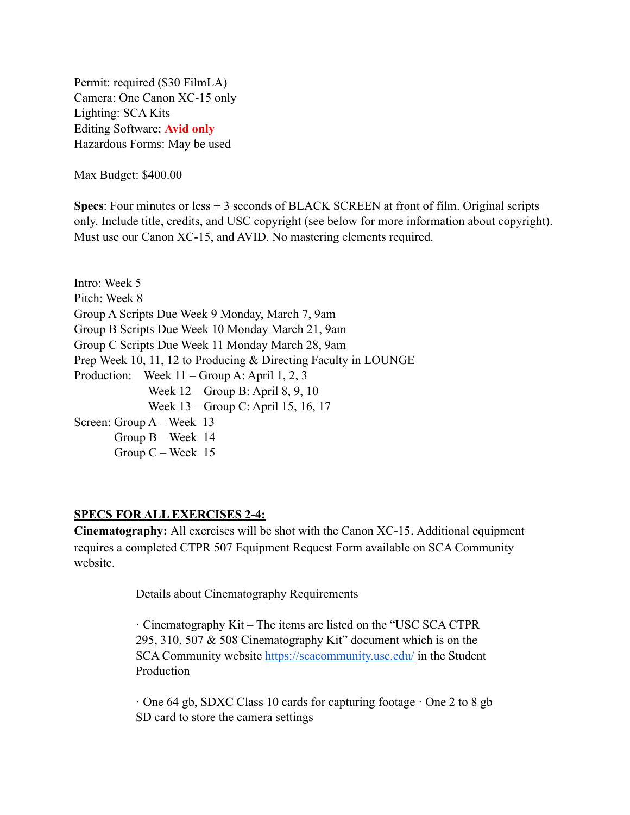Permit: required (\$30 FilmLA) Camera: One Canon XC-15 only Lighting: SCA Kits Editing Software: **Avid only** Hazardous Forms: May be used

Max Budget: \$400.00

**Specs**: Four minutes or less + 3 seconds of BLACK SCREEN at front of film. Original scripts only. Include title, credits, and USC copyright (see below for more information about copyright). Must use our Canon XC-15, and AVID. No mastering elements required.

Intro: Week 5 Pitch: Week 8 Group A Scripts Due Week 9 Monday, March 7, 9am Group B Scripts Due Week 10 Monday March 21, 9am Group C Scripts Due Week 11 Monday March 28, 9am Prep Week 10, 11, 12 to Producing & Directing Faculty in LOUNGE Production: Week 11 – Group A: April 1, 2, 3 Week 12 – Group B: April 8, 9, 10 Week 13 – Group C: April 15, 16, 17 Screen: Group A – Week 13 Group B – Week 14 Group C – Week 15

#### **SPECS FOR ALL EXERCISES 2-4:**

**Cinematography:** All exercises will be shot with the Canon XC-15. Additional equipment requires a completed CTPR 507 Equipment Request Form available on SCA Community website.

Details about Cinematography Requirements

· Cinematography Kit – The items are listed on the "USC SCA CTPR 295, 310, 507 & 508 Cinematography Kit" document which is on the SCA Community website <https://scacommunity.usc.edu/>in the Student Production

· One 64 gb, SDXC Class 10 cards for capturing footage · One 2 to 8 gb SD card to store the camera settings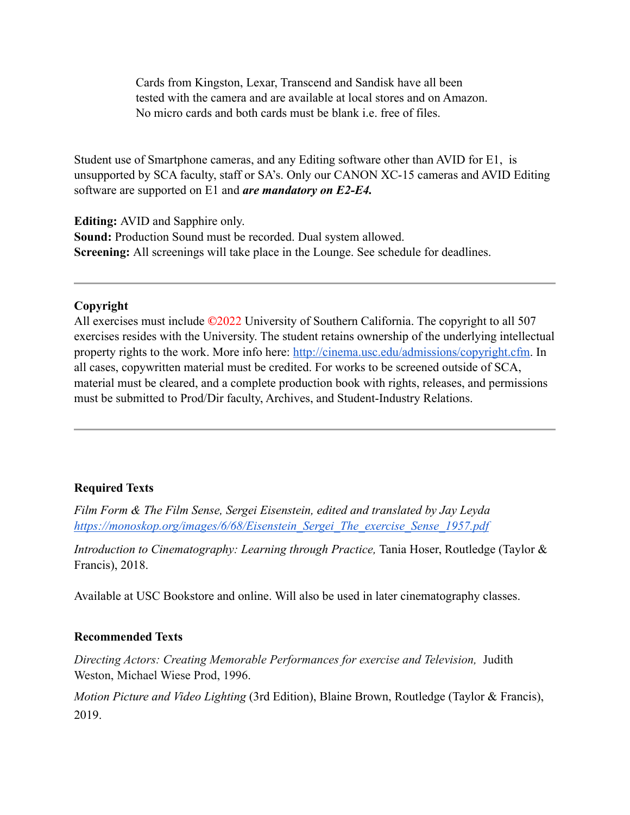Cards from Kingston, Lexar, Transcend and Sandisk have all been tested with the camera and are available at local stores and on Amazon. No micro cards and both cards must be blank i.e. free of files.

Student use of Smartphone cameras, and any Editing software other than AVID for E1, is unsupported by SCA faculty, staff or SA's. Only our CANON XC-15 cameras and AVID Editing software are supported on E1 and *are mandatory on E2-E4.*

**Editing:** AVID and Sapphire only.

**Sound:** Production Sound must be recorded. Dual system allowed. **Screening:** All screenings will take place in the Lounge. See schedule for deadlines.

### **Copyright**

All exercises must include **©**2022 University of Southern California. The copyright to all 507 exercises resides with the University. The student retains ownership of the underlying intellectual property rights to the work. More info here: <http://cinema.usc.edu/admissions/copyright.cfm>. In all cases, copywritten material must be credited. For works to be screened outside of SCA, material must be cleared, and a complete production book with rights, releases, and permissions must be submitted to Prod/Dir faculty, Archives, and Student-Industry Relations.

# **Required Texts**

*Film Form & The Film Sense, Sergei Eisenstein, edited and translated by Jay Leyda [https://monoskop.org/images/6/68/Eisenstein\\_Sergei\\_The\\_exercise\\_Sense\\_1957.pdf](https://monoskop.org/images/6/68/Eisenstein_Sergei_The_Film_Sense_1957.pdf)*

*Introduction to Cinematography: Learning through Practice, Tania Hoser, Routledge (Taylor &* Francis), 2018.

Available at USC Bookstore and online. Will also be used in later cinematography classes.

### **Recommended Texts**

*Directing Actors: Creating Memorable Performances for exercise and Television,* Judith Weston, Michael Wiese Prod, 1996.

*Motion Picture and Video Lighting* (3rd Edition), Blaine Brown, Routledge (Taylor & Francis), 2019.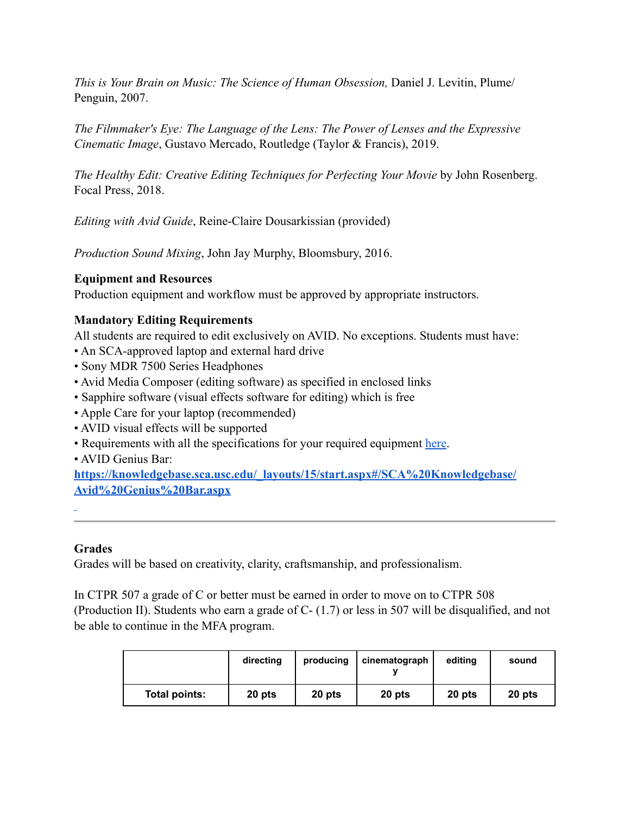*This is Your Brain on Music: The Science of Human Obsession,* Daniel J. Levitin, Plume/ Penguin, 2007.

*The Filmmaker's Eye: The Language of the Lens: The Power of Lenses and the Expressive Cinematic Image*, Gustavo Mercado, Routledge (Taylor & Francis), 2019.

*The Healthy Edit: Creative Editing Techniques for Perfecting Your Movie* by John Rosenberg. Focal Press, 2018.

*Editing with Avid Guide*, Reine-Claire Dousarkissian (provided)

*Production Sound Mixing*, John Jay Murphy, Bloomsbury, 2016.

### **Equipment and Resources**

Production equipment and workflow must be approved by appropriate instructors.

## **Mandatory Editing Requirements**

All students are required to edit exclusively on AVID. No exceptions. Students must have:

- An SCA-approved laptop and external hard drive
- Sony MDR 7500 Series Headphones
- Avid Media Composer (editing software) as specified in enclosed links
- Sapphire software (visual effects software for editing) which is free
- Apple Care for your laptop (recommended)
- AVID visual effects will be supported
- Requirements with all the specifications for your required equipment [here](http://cinema.usc.edu/laptops/).
- AVID Genius Bar:

**[https://knowledgebase.sca.usc.edu/\\_layouts/15/start.aspx#/SCA%20Knowledgebase/](https://knowledgebase.sca.usc.edu/_layouts/15/start.aspx%23/SCA%2520Knowledgebase/Avid%2520Genius%2520Bar.aspx) [Avid%20Genius%20Bar.aspx](https://knowledgebase.sca.usc.edu/_layouts/15/start.aspx%23/SCA%2520Knowledgebase/Avid%2520Genius%2520Bar.aspx)**

# **Grades**

Grades will be based on creativity, clarity, craftsmanship, and professionalism.

In CTPR 507 a grade of C or better must be earned in order to move on to CTPR 508 (Production II). Students who earn a grade of C- (1.7) or less in 507 will be disqualified, and not be able to continue in the MFA program.

|               | directing | producing | cinematograph | editing | sound  |
|---------------|-----------|-----------|---------------|---------|--------|
| Total points: | 20 pts    | 20 pts    | 20 pts        | 20 pts  | 20 pts |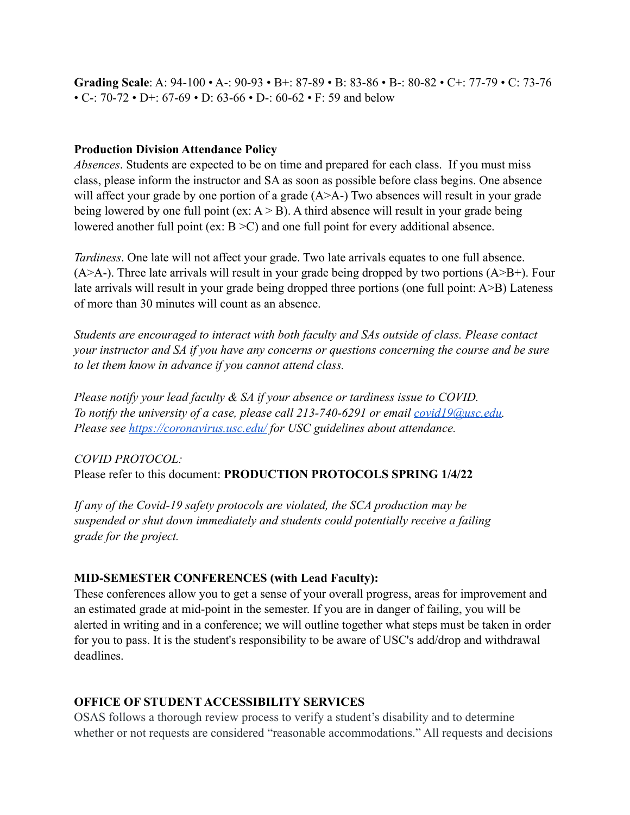**Grading Scale**: A: 94-100 • A-: 90-93 • B+: 87-89 • B: 83-86 • B-: 80-82 • C+: 77-79 • C: 73-76 • C-:  $70-72 \cdot D + 67-69 \cdot D$ :  $63-66 \cdot D - 62 \cdot F$ : 59 and below

#### **Production Division Attendance Policy**

*Absences*. Students are expected to be on time and prepared for each class. If you must miss class, please inform the instructor and SA as soon as possible before class begins. One absence will affect your grade by one portion of a grade (A>A-) Two absences will result in your grade being lowered by one full point (ex:  $A > B$ ). A third absence will result in your grade being lowered another full point (ex:  $B > C$ ) and one full point for every additional absence.

*Tardiness*. One late will not affect your grade. Two late arrivals equates to one full absence.  $(A>A-)$ . Three late arrivals will result in your grade being dropped by two portions  $(A>B+)$ . Four late arrivals will result in your grade being dropped three portions (one full point: A>B) Lateness of more than 30 minutes will count as an absence.

*Students are encouraged to interact with both faculty and SAs outside of class. Please contact your instructor and SA if you have any concerns or questions concerning the course and be sure to let them know in advance if you cannot attend class.*

*Please notify your lead faculty & SA if your absence or tardiness issue to COVID. To notify the university of a case, please call 213-740-6291 or email [covid19@usc.edu.](mailto:covid19@usc.edu) Please see<https://coronavirus.usc.edu/>for USC guidelines about attendance.*

# *COVID PROTOCOL:* Please refer to this document: **PRODUCTION PROTOCOLS SPRING 1/4/22**

*If any of the Covid-19 safety protocols are violated, the SCA production may be suspended or shut down immediately and students could potentially receive a failing grade for the project.*

### **MID-SEMESTER CONFERENCES (with Lead Faculty):**

These conferences allow you to get a sense of your overall progress, areas for improvement and an estimated grade at mid-point in the semester. If you are in danger of failing, you will be alerted in writing and in a conference; we will outline together what steps must be taken in order for you to pass. It is the student's responsibility to be aware of USC's add/drop and withdrawal deadlines.

# **OFFICE OF STUDENT ACCESSIBILITY SERVICES**

OSAS follows a thorough review process to verify a student's disability and to determine whether or not requests are considered "reasonable accommodations." All requests and decisions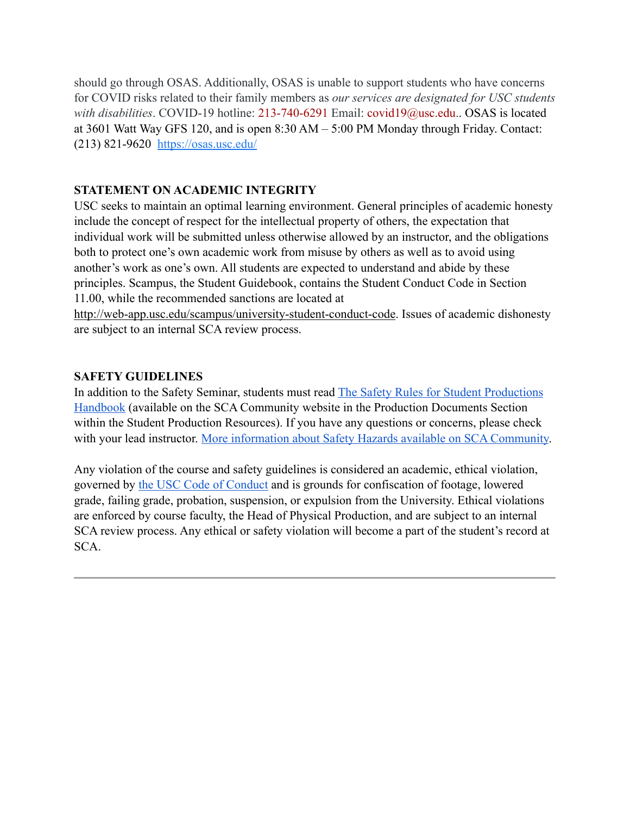should go through OSAS. Additionally, OSAS is unable to support students who have concerns for COVID risks related to their family members as *our services are designated for USC students with disabilities*. COVID-19 hotline: 213-740-6291 Email: covid19@usc.edu.. OSAS is located at 3601 Watt Way GFS 120, and is open 8:30 AM – 5:00 PM Monday through Friday. Contact: (213) 821-9620 <https://osas.usc.edu/>

## **STATEMENT ON ACADEMIC INTEGRITY**

USC seeks to maintain an optimal learning environment. General principles of academic honesty include the concept of respect for the intellectual property of others, the expectation that individual work will be submitted unless otherwise allowed by an instructor, and the obligations both to protect one's own academic work from misuse by others as well as to avoid using another's work as one's own. All students are expected to understand and abide by these principles. Scampus, the Student Guidebook, contains the Student Conduct Code in Section 11.00, while the recommended sanctions are located at

[http://web-app.usc.edu/scampus/university-student-conduct-code.](http://web-app.usc.edu/scampus/university-student-conduct-code/) Issues of academic dishonesty are subject to an internal SCA review process.

## **SAFETY GUIDELINES**

In addition to the Safety Seminar, students must read [The Safety Rules for Student Productions](https://scacommunity.usc.edu/resources/student_resources/docs/SafetyBookv3ca2019Master.pdf)  [Handbook](https://scacommunity.usc.edu/resources/student_resources/docs/SafetyBookv3ca2019Master.pdf) (available on the SCA Community website in the Production Documents Section within the Student Production Resources). If you have any questions or concerns, please check with your lead instructor. [More information about Safety Hazards available on SCA Community.](https://scacommunity.usc.edu/resources/student_resources/safetyHazards.cfm)

Any violation of the course and safety guidelines is considered an academic, ethical violation, governed by [the USC Code of Conduct](https://sjacs.usc.edu/students/scampus/) and is grounds for confiscation of footage, lowered grade, failing grade, probation, suspension, or expulsion from the University. Ethical violations are enforced by course faculty, the Head of Physical Production, and are subject to an internal SCA review process. Any ethical or safety violation will become a part of the student's record at SCA.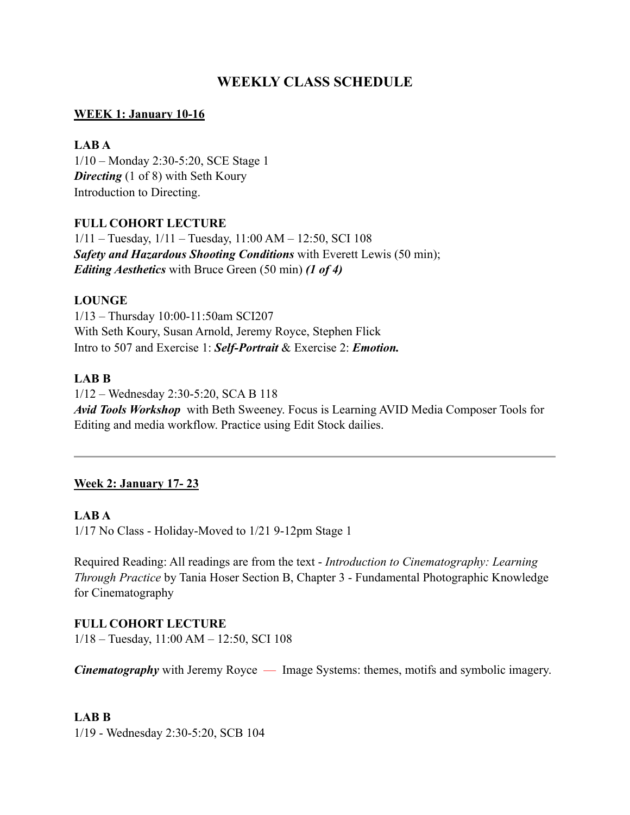# **WEEKLY CLASS SCHEDULE**

## **WEEK 1: January 10-16**

## **LAB A**

1/10 – Monday 2:30-5:20, SCE Stage 1 *Directing* (1 of 8) with Seth Koury Introduction to Directing.

## **FULL COHORT LECTURE**

1/11 – Tuesday, 1/11 – Tuesday, 11:00 AM – 12:50, SCI 108 *Safety and Hazardous Shooting Conditions* with Everett Lewis (50 min); *Editing Aesthetics* with Bruce Green (50 min) *(1 of 4)*

## **LOUNGE**

1/13 – Thursday 10:00-11:50am SCI207 With Seth Koury, Susan Arnold, Jeremy Royce, Stephen Flick Intro to 507 and Exercise 1: *Self-Portrait* & Exercise 2: *Emotion.*

## **LAB B**

1/12 – Wednesday 2:30-5:20, SCA B 118 *Avid Tools Workshop* with Beth Sweeney. Focus is Learning AVID Media Composer Tools for Editing and media workflow. Practice using Edit Stock dailies.

# **Week 2: January 17- 23**

### **LAB A**

1/17 No Class - Holiday-Moved to 1/21 9-12pm Stage 1

Required Reading: All readings are from the text - *Introduction to Cinematography: Learning Through Practice* by Tania Hoser Section B, Chapter 3 - Fundamental Photographic Knowledge for Cinematography

### **FULL COHORT LECTURE**

1/18 – Tuesday, 11:00 AM – 12:50, SCI 108

*Cinematography* with Jeremy Royce — Image Systems: themes, motifs and symbolic imagery.

### **LAB B**

1/19 - Wednesday 2:30-5:20, SCB 104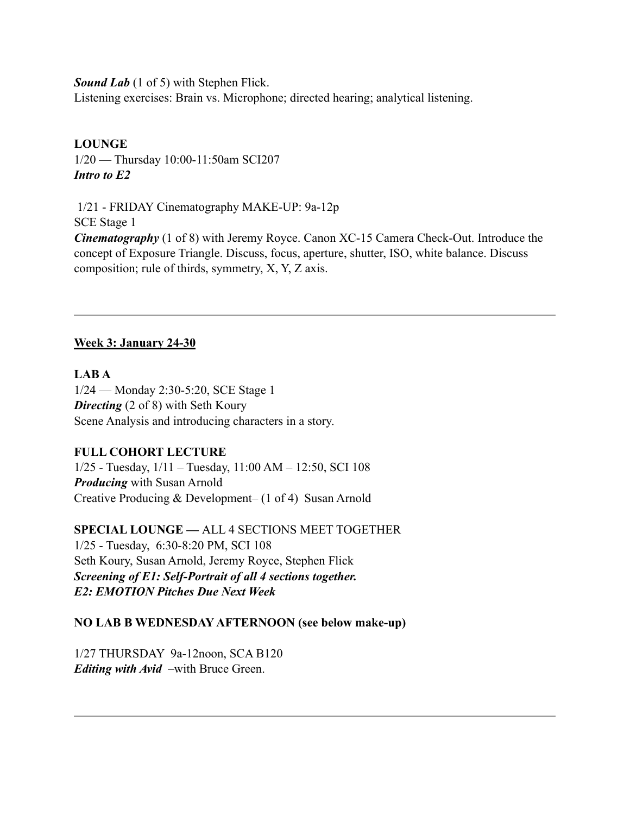*Sound Lab* (1 of 5) with Stephen Flick.

Listening exercises: Brain vs. Microphone; directed hearing; analytical listening.

# **LOUNGE**

1/20 — Thursday 10:00-11:50am SCI207 *Intro to E2*

 1/21 - FRIDAY Cinematography MAKE-UP: 9a-12p SCE Stage 1 *Cinematography* (1 of 8) with Jeremy Royce. Canon XC-15 Camera Check-Out. Introduce the concept of Exposure Triangle. Discuss, focus, aperture, shutter, ISO, white balance. Discuss composition; rule of thirds, symmetry, X, Y, Z axis.

# **Week 3: January 24-30**

## **LAB A**

1/24 — Monday 2:30-5:20, SCE Stage 1 **Directing** (2 of 8) with Seth Koury Scene Analysis and introducing characters in a story.

# **FULL COHORT LECTURE**

1/25 - Tuesday, 1/11 – Tuesday, 11:00 AM – 12:50, SCI 108 *Producing* with Susan Arnold Creative Producing & Development– (1 of 4) Susan Arnold

**SPECIAL LOUNGE —** ALL 4 SECTIONS MEET TOGETHER 1/25 - Tuesday, 6:30-8:20 PM, SCI 108 Seth Koury, Susan Arnold, Jeremy Royce, Stephen Flick *Screening of E1: Self-Portrait of all 4 sections together. E2: EMOTION Pitches Due Next Week*

# **NO LAB B WEDNESDAY AFTERNOON (see below make-up)**

1/27 THURSDAY 9a-12noon, SCA B120 *Editing with Avid* –with Bruce Green.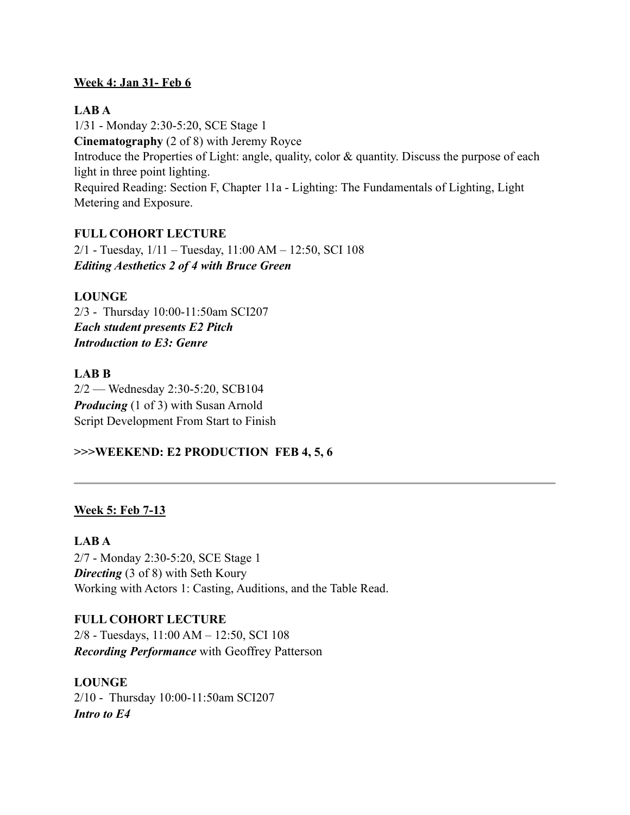## **Week 4: Jan 31- Feb 6**

## **LAB A**

1/31 - Monday 2:30-5:20, SCE Stage 1 **Cinematography** (2 of 8) with Jeremy Royce Introduce the Properties of Light: angle, quality, color & quantity. Discuss the purpose of each light in three point lighting. Required Reading: Section F, Chapter 11a - Lighting: The Fundamentals of Lighting, Light Metering and Exposure.

## **FULL COHORT LECTURE**

2/1 - Tuesday, 1/11 – Tuesday, 11:00 AM – 12:50, SCI 108 *Editing Aesthetics 2 of 4 with Bruce Green*

## **LOUNGE**

2/3 - Thursday 10:00-11:50am SCI207 *Each student presents E2 Pitch Introduction to E3: Genre*

## **LAB B**

2/2 — Wednesday 2:30-5:20, SCB104 *Producing* (1 of 3) with Susan Arnold Script Development From Start to Finish

# **>>>WEEKEND: E2 PRODUCTION FEB 4, 5, 6**

# **Week 5: Feb 7-13**

# **LAB A**

2/7 - Monday 2:30-5:20, SCE Stage 1 **Directing** (3 of 8) with Seth Koury Working with Actors 1: Casting, Auditions, and the Table Read.

# **FULL COHORT LECTURE**

2/8 - Tuesdays, 11:00 AM – 12:50, SCI 108 *Recording Performance* with Geoffrey Patterson

# **LOUNGE**

2/10 - Thursday 10:00-11:50am SCI207 *Intro to E4*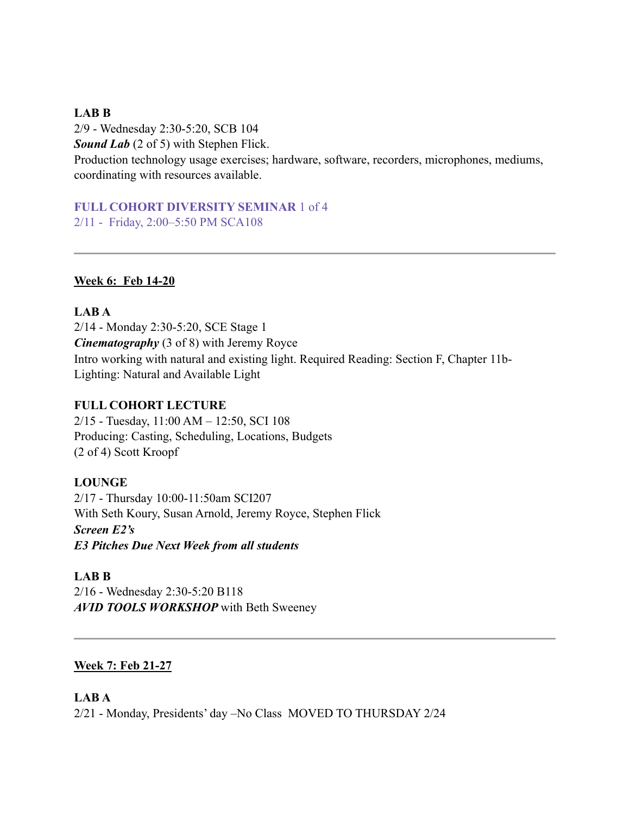#### **LAB B**

2/9 - Wednesday 2:30-5:20, SCB 104 *Sound Lab* (2 of 5) with Stephen Flick. Production technology usage exercises; hardware, software, recorders, microphones, mediums, coordinating with resources available.

**FULL COHORT DIVERSITY SEMINAR** 1 of 4 2/11 - Friday, 2:00–5:50 PM SCA108

#### **Week 6: Feb 14-20**

**LAB A** 2/14 - Monday 2:30-5:20, SCE Stage 1 *Cinematography* (3 of 8) with Jeremy Royce Intro working with natural and existing light. Required Reading: Section F, Chapter 11b-Lighting: Natural and Available Light

#### **FULL COHORT LECTURE**

2/15 - Tuesday, 11:00 AM – 12:50, SCI 108 Producing: Casting, Scheduling, Locations, Budgets (2 of 4) Scott Kroopf

### **LOUNGE**

2/17 - Thursday 10:00-11:50am SCI207 With Seth Koury, Susan Arnold, Jeremy Royce, Stephen Flick *Screen E2's E3 Pitches Due Next Week from all students*

#### **LAB B**

2/16 - Wednesday 2:30-5:20 B118 *AVID TOOLS WORKSHOP* with Beth Sweeney

### **Week 7: Feb 21-27**

#### **LAB A**

2/21 - Monday, Presidents' day –No Class MOVED TO THURSDAY 2/24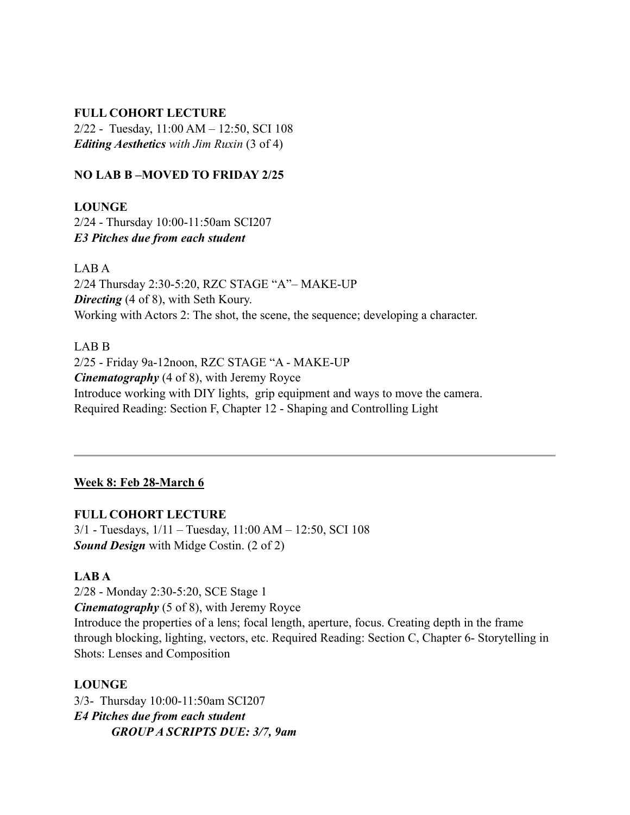#### **FULL COHORT LECTURE**

2/22 - Tuesday, 11:00 AM – 12:50, SCI 108 *Editing Aesthetics with Jim Ruxin* (3 of 4)

#### **NO LAB B –MOVED TO FRIDAY 2/25**

**LOUNGE** 2/24 - Thursday 10:00-11:50am SCI207 *E3 Pitches due from each student*

LAB A 2/24 Thursday 2:30-5:20, RZC STAGE "A"– MAKE-UP *Directing* (4 of 8), with Seth Koury. Working with Actors 2: The shot, the scene, the sequence; developing a character.

LAB B

2/25 - Friday 9a-12noon, RZC STAGE "A - MAKE-UP *Cinematography* (4 of 8), with Jeremy Royce Introduce working with DIY lights, grip equipment and ways to move the camera. Required Reading: Section F, Chapter 12 - Shaping and Controlling Light

## **Week 8: Feb 28-March 6**

**FULL COHORT LECTURE**

3/1 - Tuesdays, 1/11 – Tuesday, 11:00 AM – 12:50, SCI 108 *Sound Design* with Midge Costin. (2 of 2)

### **LAB A**

2/28 - Monday 2:30-5:20, SCE Stage 1 *Cinematography* (5 of 8), with Jeremy Royce Introduce the properties of a lens; focal length, aperture, focus. Creating depth in the frame through blocking, lighting, vectors, etc. Required Reading: Section C, Chapter 6- Storytelling in Shots: Lenses and Composition

**LOUNGE**

3/3- Thursday 10:00-11:50am SCI207 *E4 Pitches due from each student GROUP A SCRIPTS DUE: 3/7, 9am*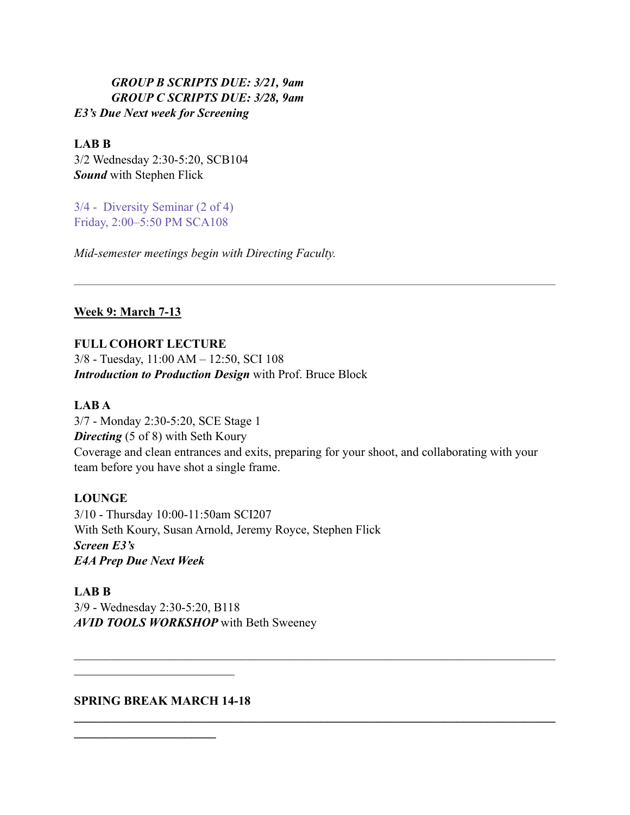## *GROUP B SCRIPTS DUE: 3/21, 9am GROUP C SCRIPTS DUE: 3/28, 9am E3's Due Next week for Screening*

## **LAB B**

3/2 Wednesday 2:30-5:20, SCB104 *Sound* with Stephen Flick

3/4 - Diversity Seminar (2 of 4) Friday, 2:00–5:50 PM SCA108

*Mid-semester meetings begin with Directing Faculty.*

## **Week 9: March 7-13**

## **FULL COHORT LECTURE**

3/8 - Tuesday, 11:00 AM – 12:50, SCI 108 *Introduction to Production Design* with Prof. Bruce Block

# **LAB A**

3/7 - Monday 2:30-5:20, SCE Stage 1 **Directing** (5 of 8) with Seth Koury Coverage and clean entrances and exits, preparing for your shoot, and collaborating with your team before you have shot a single frame.

 $\mathcal{L}_\mathcal{L} = \{ \mathcal{L}_\mathcal{L} = \{ \mathcal{L}_\mathcal{L} = \{ \mathcal{L}_\mathcal{L} = \{ \mathcal{L}_\mathcal{L} = \{ \mathcal{L}_\mathcal{L} = \{ \mathcal{L}_\mathcal{L} = \{ \mathcal{L}_\mathcal{L} = \{ \mathcal{L}_\mathcal{L} = \{ \mathcal{L}_\mathcal{L} = \{ \mathcal{L}_\mathcal{L} = \{ \mathcal{L}_\mathcal{L} = \{ \mathcal{L}_\mathcal{L} = \{ \mathcal{L}_\mathcal{L} = \{ \mathcal{L}_\mathcal{$ 

 $\mathcal{L}_\mathcal{L} = \{ \mathcal{L}_\mathcal{L} = \{ \mathcal{L}_\mathcal{L} = \{ \mathcal{L}_\mathcal{L} = \{ \mathcal{L}_\mathcal{L} = \{ \mathcal{L}_\mathcal{L} = \{ \mathcal{L}_\mathcal{L} = \{ \mathcal{L}_\mathcal{L} = \{ \mathcal{L}_\mathcal{L} = \{ \mathcal{L}_\mathcal{L} = \{ \mathcal{L}_\mathcal{L} = \{ \mathcal{L}_\mathcal{L} = \{ \mathcal{L}_\mathcal{L} = \{ \mathcal{L}_\mathcal{L} = \{ \mathcal{L}_\mathcal{$ 

# **LOUNGE**

3/10 - Thursday 10:00-11:50am SCI207 With Seth Koury, Susan Arnold, Jeremy Royce, Stephen Flick *Screen E3's E4A Prep Due Next Week*

**LAB B** 3/9 - Wednesday 2:30-5:20, B118 *AVID TOOLS WORKSHOP* with Beth Sweeney

### **SPRING BREAK MARCH 14-18**

 $\mathcal{L}_\text{max}$  , where  $\mathcal{L}_\text{max}$  and  $\mathcal{L}_\text{max}$ 

**\_\_\_\_\_\_\_\_\_\_\_\_\_\_\_\_\_\_\_\_\_\_\_**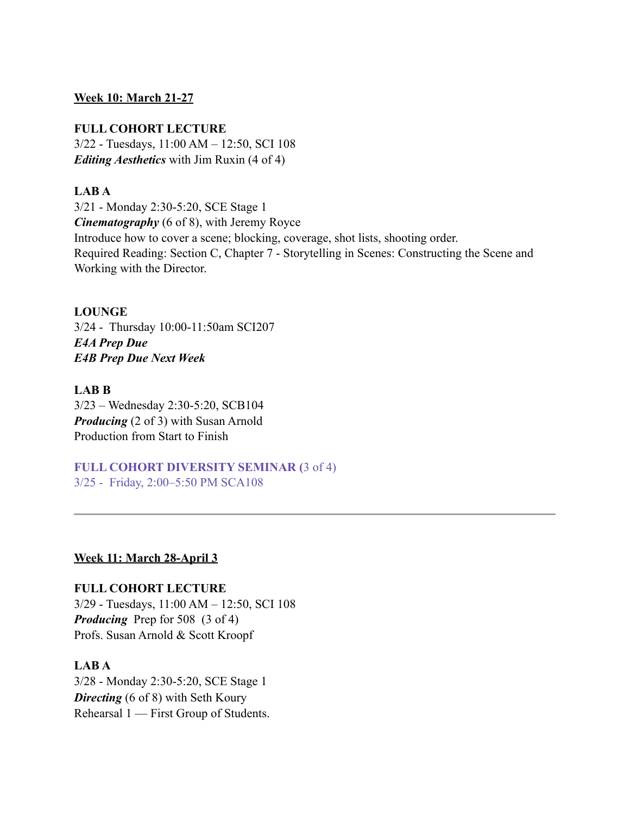#### **Week 10: March 21-27**

#### **FULL COHORT LECTURE**

3/22 - Tuesdays, 11:00 AM – 12:50, SCI 108 *Editing Aesthetics* with Jim Ruxin (4 of 4)

#### **LAB A**

3/21 - Monday 2:30-5:20, SCE Stage 1 *Cinematography* (6 of 8), with Jeremy Royce Introduce how to cover a scene; blocking, coverage, shot lists, shooting order. Required Reading: Section C, Chapter 7 - Storytelling in Scenes: Constructing the Scene and Working with the Director.

#### **LOUNGE**

3/24 - Thursday 10:00-11:50am SCI207 *E4A Prep Due E4B Prep Due Next Week*

#### **LAB B**

3/23 – Wednesday 2:30-5:20, SCB104 *Producing* (2 of 3) with Susan Arnold Production from Start to Finish

**FULL COHORT DIVERSITY SEMINAR (**3 of 4) 3/25 - Friday, 2:00–5:50 PM SCA108

#### **Week 11: March 28-April 3**

**FULL COHORT LECTURE** 3/29 - Tuesdays, 11:00 AM – 12:50, SCI 108 *Producing* Prep for 508 (3 of 4) Profs. Susan Arnold & Scott Kroopf

#### **LAB A**

3/28 - Monday 2:30-5:20, SCE Stage 1 *Directing* (6 of 8) with Seth Koury Rehearsal 1 — First Group of Students.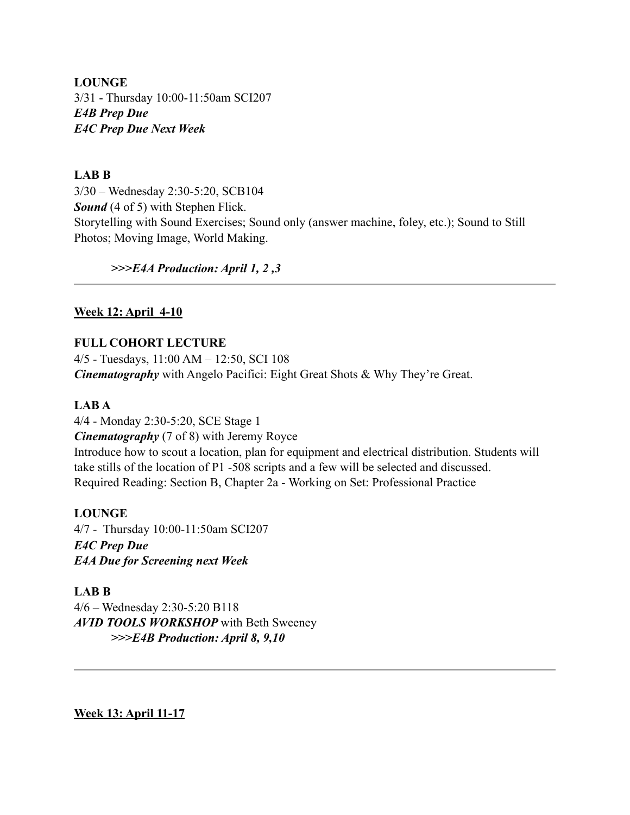**LOUNGE** 3/31 - Thursday 10:00-11:50am SCI207 *E4B Prep Due E4C Prep Due Next Week*

#### **LAB B**

3/30 – Wednesday 2:30-5:20, SCB104 *Sound* (4 of 5) with Stephen Flick. Storytelling with Sound Exercises; Sound only (answer machine, foley, etc.); Sound to Still Photos; Moving Image, World Making.

#### *>>>E4A Production: April 1, 2 ,3*

#### **Week 12: April 4-10**

#### **FULL COHORT LECTURE**

4/5 - Tuesdays, 11:00 AM – 12:50, SCI 108 *Cinematography* with Angelo Pacifici: Eight Great Shots & Why They're Great.

#### **LAB A**

4/4 - Monday 2:30-5:20, SCE Stage 1 *Cinematography* (7 of 8) with Jeremy Royce Introduce how to scout a location, plan for equipment and electrical distribution. Students will take stills of the location of P1 -508 scripts and a few will be selected and discussed. Required Reading: Section B, Chapter 2a - Working on Set: Professional Practice

#### **LOUNGE**

4/7 - Thursday 10:00-11:50am SCI207 *E4C Prep Due E4A Due for Screening next Week*

#### **LAB B**

4/6 – Wednesday 2:30-5:20 B118 *AVID TOOLS WORKSHOP* with Beth Sweeney *>>>E4B Production: April 8, 9,10*

**Week 13: April 11-17**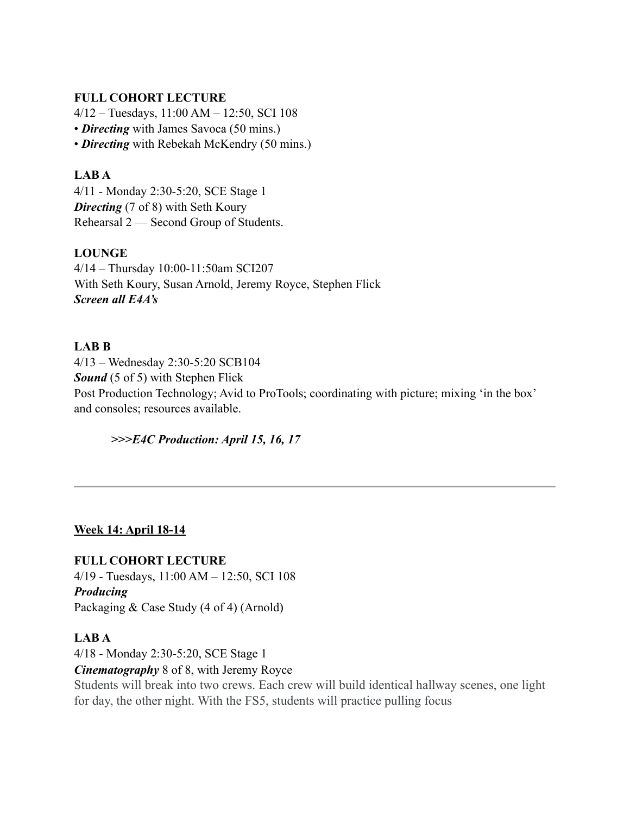### **FULL COHORT LECTURE**

4/12 – Tuesdays, 11:00 AM – 12:50, SCI 108 • *Directing* with James Savoca (50 mins.) • *Directing* with Rebekah McKendry (50 mins.)

## **LAB A**

4/11 - Monday 2:30-5:20, SCE Stage 1 *Directing* (7 of 8) with Seth Koury Rehearsal 2 — Second Group of Students.

# **LOUNGE**

4/14 – Thursday 10:00-11:50am SCI207 With Seth Koury, Susan Arnold, Jeremy Royce, Stephen Flick *Screen all E4A's* 

# **LAB B**

4/13 – Wednesday 2:30-5:20 SCB104 *Sound* (5 of 5) with Stephen Flick Post Production Technology; Avid to ProTools; coordinating with picture; mixing 'in the box' and consoles; resources available.

### *>>>E4C Production: April 15, 16, 17*

# **Week 14: April 18-14**

**FULL COHORT LECTURE**

4/19 - Tuesdays, 11:00 AM – 12:50, SCI 108 *Producing*  Packaging & Case Study (4 of 4) (Arnold)

### **LAB A**

4/18 - Monday 2:30-5:20, SCE Stage 1

### *Cinematography* 8 of 8, with Jeremy Royce

Students will break into two crews. Each crew will build identical hallway scenes, one light for day, the other night. With the FS5, students will practice pulling focus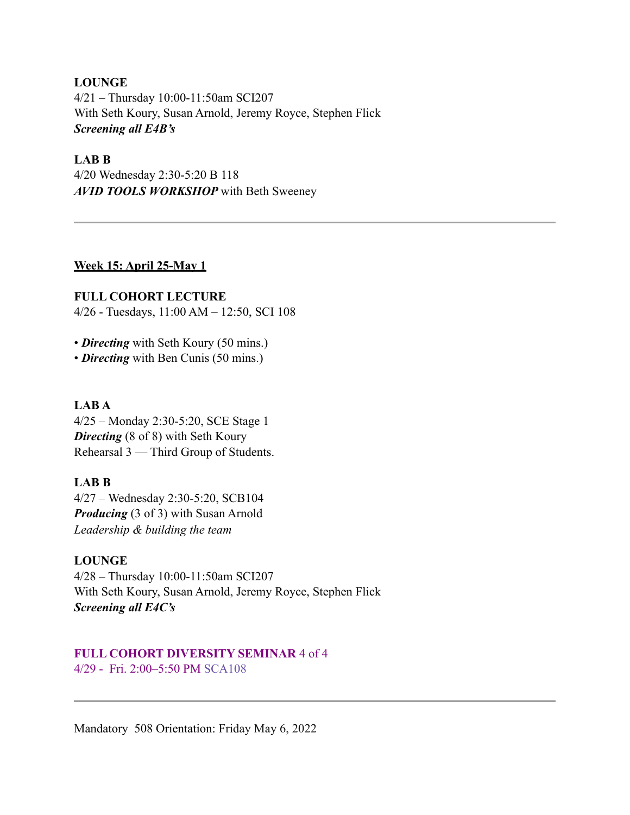# **LOUNGE** 4/21 – Thursday 10:00-11:50am SCI207 With Seth Koury, Susan Arnold, Jeremy Royce, Stephen Flick *Screening all E4B's*

### **LAB B**

4/20 Wednesday 2:30-5:20 B 118 *AVID TOOLS WORKSHOP* with Beth Sweeney

### **Week 15: April 25-May 1**

**FULL COHORT LECTURE**  4/26 - Tuesdays, 11:00 AM – 12:50, SCI 108

- *Directing* with Seth Koury (50 mins.)
- *Directing* with Ben Cunis (50 mins.)

# **LAB A**

4/25 – Monday 2:30-5:20, SCE Stage 1 *Directing* (8 of 8) with Seth Koury Rehearsal 3 — Third Group of Students.

# **LAB B**

4/27 – Wednesday 2:30-5:20, SCB104 *Producing* (3 of 3) with Susan Arnold *Leadership & building the team*

### **LOUNGE**

4/28 – Thursday 10:00-11:50am SCI207 With Seth Koury, Susan Arnold, Jeremy Royce, Stephen Flick *Screening all E4C's* 

## **FULL COHORT DIVERSITY SEMINAR** 4 of 4 4/29 - Fri. 2:00–5:50 PM SCA108

Mandatory 508 Orientation: Friday May 6, 2022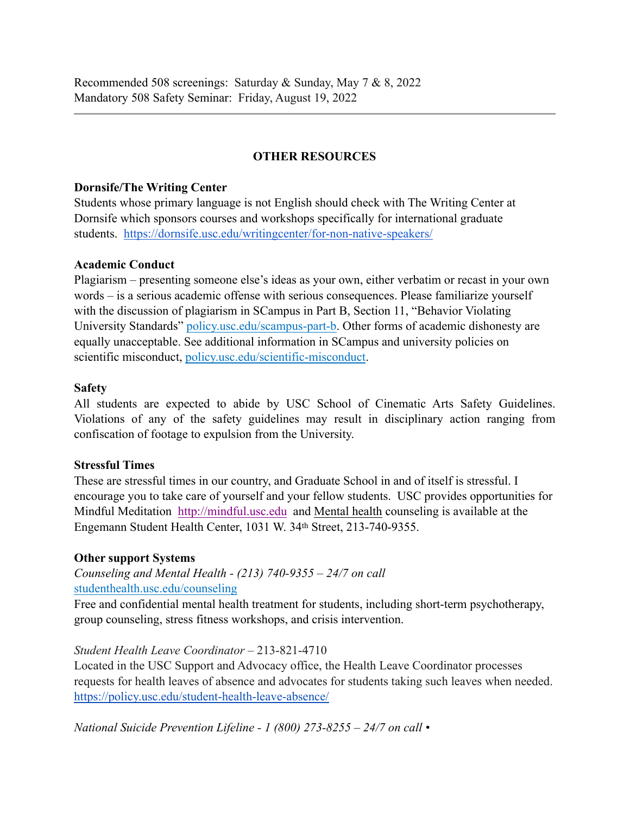Recommended 508 screenings: Saturday & Sunday, May 7 & 8, 2022 Mandatory 508 Safety Seminar: Friday, August 19, 2022

## **OTHER RESOURCES**

#### **Dornsife/The Writing Center**

Students whose primary language is not English should check with The Writing Center at Dornsife which sponsors courses and workshops specifically for international graduate students. <https://dornsife.usc.edu/writingcenter/for-non-native-speakers/>

#### **Academic Conduct**

Plagiarism – presenting someone else's ideas as your own, either verbatim or recast in your own words – is a serious academic offense with serious consequences. Please familiarize yourself with the discussion of plagiarism in SCampus in Part B, Section 11, "Behavior Violating University Standards[" policy.usc.edu/scampus-part-b](https://policy.usc.edu/scampus-part-b/). Other forms of academic dishonesty are equally unacceptable. See additional information in SCampus and university policies on scientific misconduct[, policy.usc.edu/scientific-misconduct](http://policy.usc.edu/scientific-misconduct).

#### **Safety**

All students are expected to abide by USC School of Cinematic Arts Safety Guidelines. Violations of any of the safety guidelines may result in disciplinary action ranging from confiscation of footage to expulsion from the University.

#### **Stressful Times**

These are stressful times in our country, and Graduate School in and of itself is stressful. I encourage you to take care of yourself and your fellow students. USC provides opportunities for Mindful Meditation <http://mindful.usc.edu>and Mental health counseling is available at the Engemann Student Health Center, 1031 W. 34th Street, 213-740-9355.

### **Other support Systems**

*Counseling and Mental Health - (213) 740-9355 – 24/7 on call*  [studenthealth.usc.edu/counseling](https://studenthealth.usc.edu/counseling/)

Free and confidential mental health treatment for students, including short-term psychotherapy, group counseling, stress fitness workshops, and crisis intervention.

### *Student Health Leave Coordinator* – 213-821-4710

Located in the USC Support and Advocacy office, the Health Leave Coordinator processes requests for health leaves of absence and advocates for students taking such leaves when needed. <https://policy.usc.edu/student-health-leave-absence/>

*National Suicide Prevention Lifeline - 1 (800) 273-8255 – 24/7 on call •*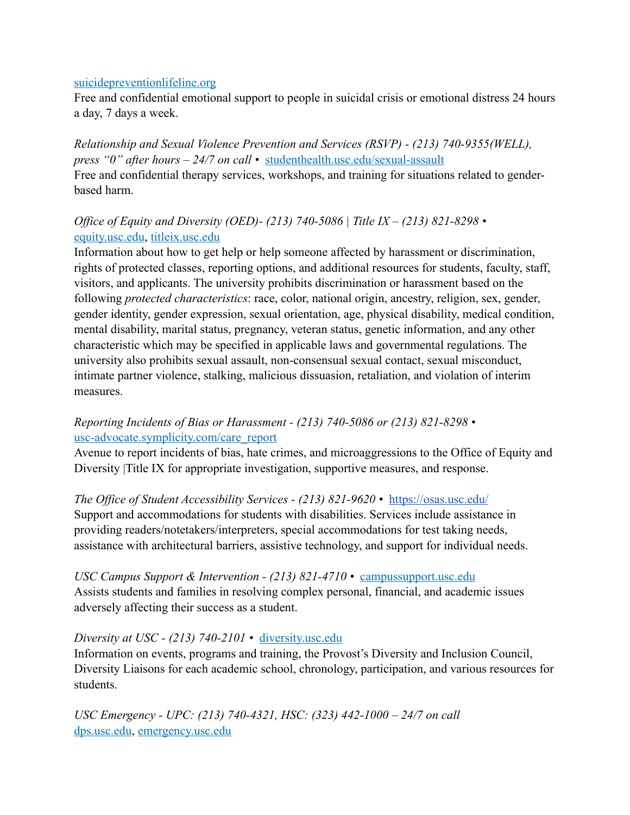#### [suicidepreventionlifeline.org](http://www.suicidepreventionlifeline.org/)

Free and confidential emotional support to people in suicidal crisis or emotional distress 24 hours a day, 7 days a week.

*Relationship and Sexual Violence Prevention and Services (RSVP) - (213) 740-9355(WELL), press "0" after hours – 24/7 on call •* [studenthealth.usc.edu/sexual-assault](https://studenthealth.usc.edu/sexual-assault/) Free and confidential therapy services, workshops, and training for situations related to genderbased harm.

# *Office of Equity and Diversity (OED)- (213) 740-5086 | Title IX – (213) 821-8298 •* [equity.usc.edu,](https://equity.usc.edu/) [titleix.usc.edu](http://titleix.usc.edu)

Information about how to get help or help someone affected by harassment or discrimination, rights of protected classes, reporting options, and additional resources for students, faculty, staff, visitors, and applicants. The university prohibits discrimination or harassment based on the following *protected characteristics*: race, color, national origin, ancestry, religion, sex, gender, gender identity, gender expression, sexual orientation, age, physical disability, medical condition, mental disability, marital status, pregnancy, veteran status, genetic information, and any other characteristic which may be specified in applicable laws and governmental regulations. The university also prohibits sexual assault, non-consensual sexual contact, sexual misconduct, intimate partner violence, stalking, malicious dissuasion, retaliation, and violation of interim measures.

# *Reporting Incidents of Bias or Harassment - (213) 740-5086 or (213) 821-8298 •* [usc-advocate.symplicity.com/care\\_report](https://usc-advocate.symplicity.com/care_report/)

Avenue to report incidents of bias, hate crimes, and microaggressions to the Office of Equity and Diversity |Title IX for appropriate investigation, supportive measures, and response.

*The Office of Student Accessibility Services - (213) 821-9620 •* <https://osas.usc.edu/> Support and accommodations for students with disabilities. Services include assistance in providing readers/notetakers/interpreters, special accommodations for test taking needs, assistance with architectural barriers, assistive technology, and support for individual needs.

*USC Campus Support & Intervention - (213) 821-4710 •* [campussupport.usc.edu](https://campussupport.usc.edu/) Assists students and families in resolving complex personal, financial, and academic issues adversely affecting their success as a student.

### *Diversity at USC - (213) 740-2101 •* [diversity.usc.edu](https://diversity.usc.edu/)

Information on events, programs and training, the Provost's Diversity and Inclusion Council, Diversity Liaisons for each academic school, chronology, participation, and various resources for students.

*USC Emergency - UPC: (213) 740-4321, HSC: (323) 442-1000 – 24/7 on call* [dps.usc.edu,](http://dps.usc.edu/) [emergency.usc.edu](http://emergency.usc.edu/)